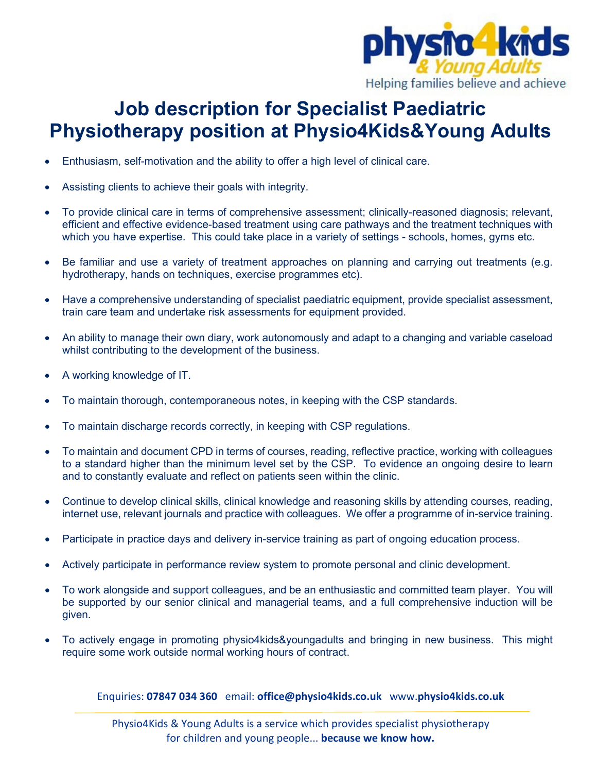

## **Job description for Specialist Paediatric Physiotherapy position at Physio4Kids&Young Adults**

- Enthusiasm, self-motivation and the ability to offer a high level of clinical care.
- Assisting clients to achieve their goals with integrity.
- To provide clinical care in terms of comprehensive assessment; clinically-reasoned diagnosis; relevant, efficient and effective evidence-based treatment using care pathways and the treatment techniques with which you have expertise. This could take place in a variety of settings - schools, homes, gyms etc.
- Be familiar and use a variety of treatment approaches on planning and carrying out treatments (e.g. hydrotherapy, hands on techniques, exercise programmes etc).
- Have a comprehensive understanding of specialist paediatric equipment, provide specialist assessment, train care team and undertake risk assessments for equipment provided.
- An ability to manage their own diary, work autonomously and adapt to a changing and variable caseload whilst contributing to the development of the business.
- A working knowledge of IT.
- To maintain thorough, contemporaneous notes, in keeping with the CSP standards.
- To maintain discharge records correctly, in keeping with CSP regulations.
- To maintain and document CPD in terms of courses, reading, reflective practice, working with colleagues to a standard higher than the minimum level set by the CSP. To evidence an ongoing desire to learn and to constantly evaluate and reflect on patients seen within the clinic.
- Continue to develop clinical skills, clinical knowledge and reasoning skills by attending courses, reading, internet use, relevant journals and practice with colleagues. We offer a programme of in-service training.
- Participate in practice days and delivery in-service training as part of ongoing education process.
- Actively participate in performance review system to promote personal and clinic development.
- To work alongside and support colleagues, and be an enthusiastic and committed team player. You will be supported by our senior clinical and managerial teams, and a full comprehensive induction will be given.
- To actively engage in promoting physio4kids&youngadults and bringing in new business. This might require some work outside normal working hours of contract.

Enquiries: **07847 034 360** email: **office@physio4kids.co.uk** www.**physio4kids.co.uk**

Physio4Kids & Young Adults is a service which provides specialist physiotherapy for children and young people... **because we know how.**